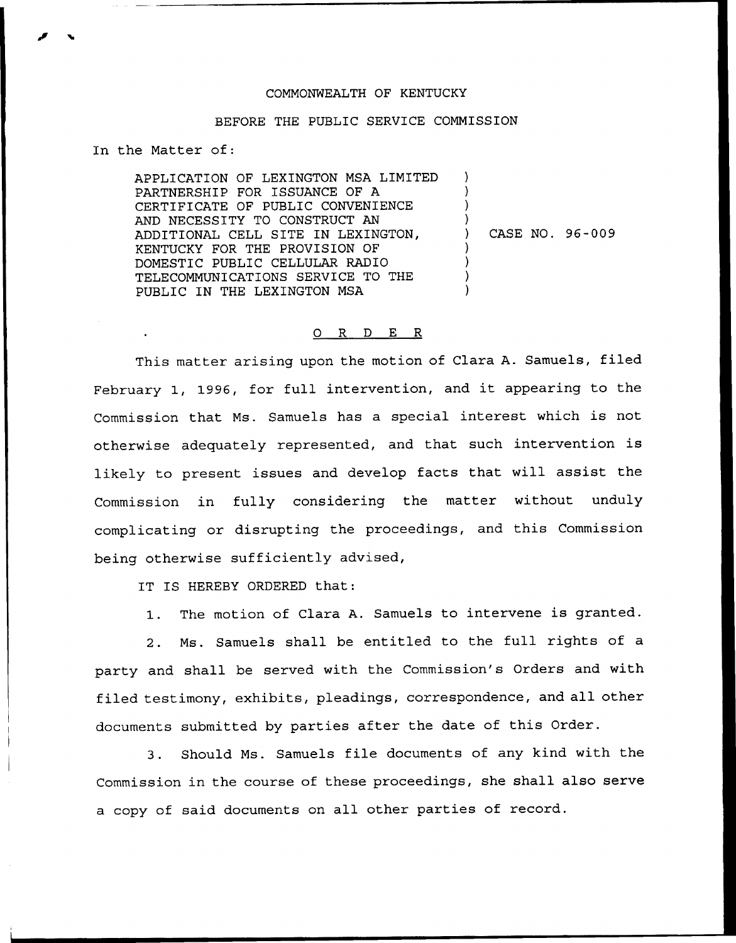## COMMONWEALTH OF KENTUCKY

## BEFORE THE PUBLIC SERVICE COMMISSION

In the Matter of:

APPLICATION OF LEXINGTON MSA LIMITED PARTNERSHIP FOR ISSUANCE OF A CERTIFICATE OF PUBLIC CONVENIENCE AND NECESSITY TO CONSTRUCT AN ADDITIONAL CELL SITE IN LEXINGTON, KENTUCKY FOR THE PROVISION OF DOMESTIC PUBLIC CELLULAR RADIO TELECOMMUNICATIONS SERVICE TO THE PUBLIC IN THE LEXINGTON MSA  $\lambda$ ) ) ) ) CASE NO. 96-009 ) ) ) )

## 0 R <sup>D</sup> E R

This matter arising upon the motion of Clara A. Samuels, filed February 1, 1996, for full intervention, and it appearing to the Commission that Ms. Samuels has <sup>a</sup> special interest which is not otherwise adequately represented, and that such intervention is likely to present issues and develop facts that will assist the Commission in fully considering the matter without unduly complicating or disrupting the proceedings, and this Commission being otherwise sufficiently advised,

IT IS HEREBY ORDERED that:

1. The motion of Clara A. Samuels to intervene is granted.

2. Ms. Samuels shall be entitled to the full rights of a party and shall be served with the Commission's Orders and with filed testimony, exhibits, pleadings, correspondence, and all other documents submitted by parties after the date of this Order.

3. Should Ms. Samuels file documents of any kind with the Commission in the course of these proceedings, she shall also serve a copy of said documents on all other parties of record.